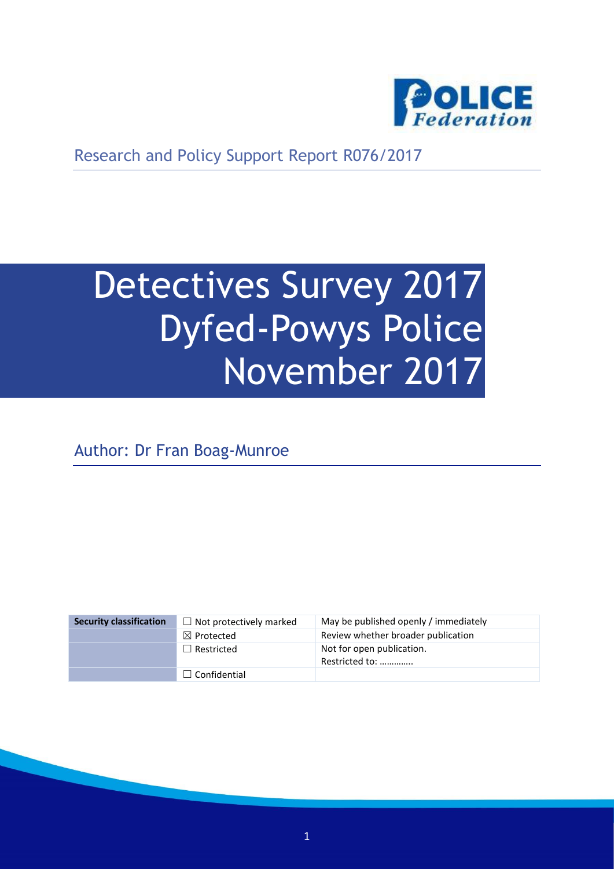

Research and Policy Support Report R076/2017

# Detectives Survey 2017 Dyfed-Powys Police November 2017

Author: Dr Fran Boag-Munroe

| <b>Security classification</b> | $\Box$ Not protectively marked | May be published openly / immediately       |
|--------------------------------|--------------------------------|---------------------------------------------|
|                                | $\boxtimes$ Protected          | Review whether broader publication          |
|                                | $\Box$ Restricted              | Not for open publication.<br>Restricted to: |
|                                | $\Box$ Confidential            |                                             |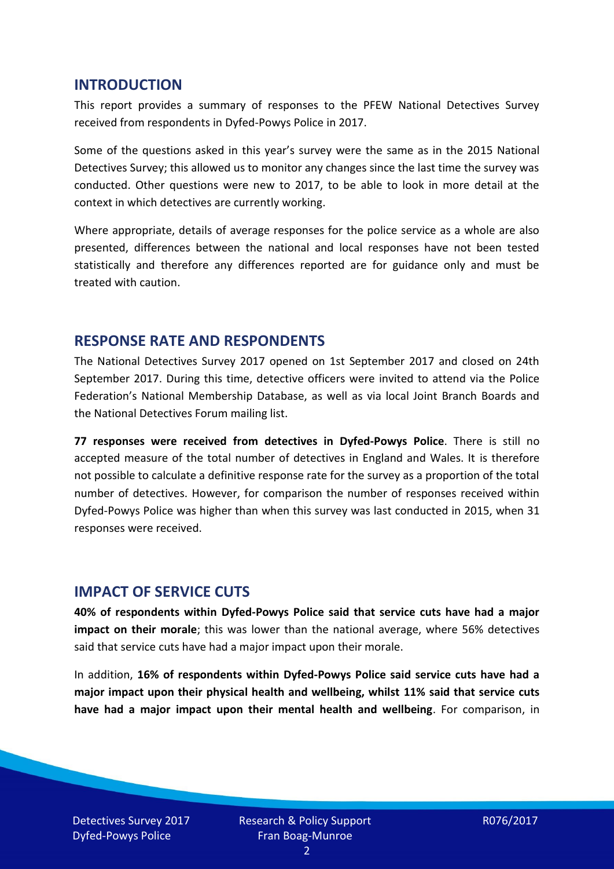#### **INTRODUCTION**

This report provides a summary of responses to the PFEW National Detectives Survey received from respondents in Dyfed-Powys Police in 2017.

Some of the questions asked in this year's survey were the same as in the 2015 National Detectives Survey; this allowed us to monitor any changes since the last time the survey was conducted. Other questions were new to 2017, to be able to look in more detail at the context in which detectives are currently working.

Where appropriate, details of average responses for the police service as a whole are also presented, differences between the national and local responses have not been tested statistically and therefore any differences reported are for guidance only and must be treated with caution.

#### **RESPONSE RATE AND RESPONDENTS**

The National Detectives Survey 2017 opened on 1st September 2017 and closed on 24th September 2017. During this time, detective officers were invited to attend via the Police Federation's National Membership Database, as well as via local Joint Branch Boards and the National Detectives Forum mailing list.

**77 responses were received from detectives in Dyfed-Powys Police**. There is still no accepted measure of the total number of detectives in England and Wales. It is therefore not possible to calculate a definitive response rate for the survey as a proportion of the total number of detectives. However, for comparison the number of responses received within Dyfed-Powys Police was higher than when this survey was last conducted in 2015, when 31 responses were received.

#### **IMPACT OF SERVICE CUTS**

**40% of respondents within Dyfed-Powys Police said that service cuts have had a major impact on their morale**; this was lower than the national average, where 56% detectives said that service cuts have had a major impact upon their morale.

In addition, **16% of respondents within Dyfed-Powys Police said service cuts have had a major impact upon their physical health and wellbeing, whilst 11% said that service cuts have had a major impact upon their mental health and wellbeing**. For comparison, in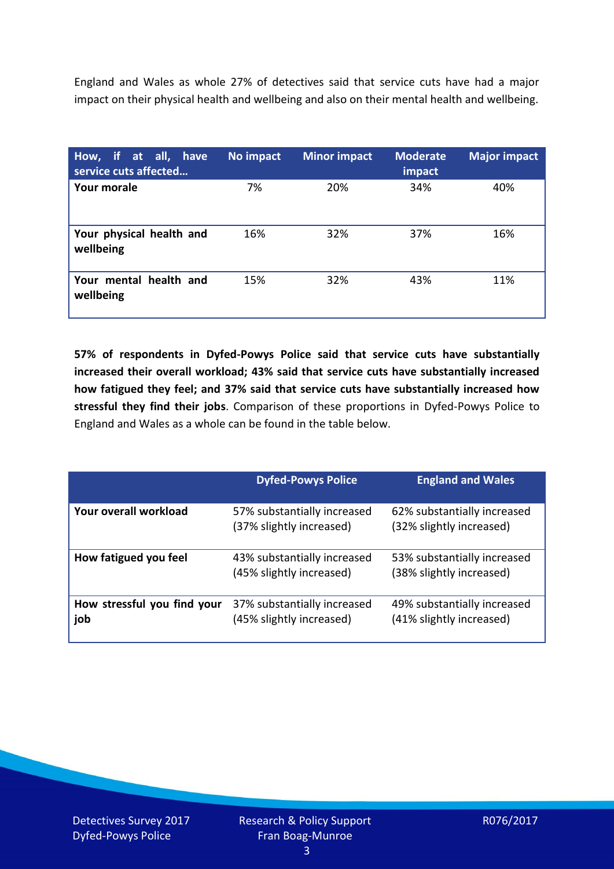England and Wales as whole 27% of detectives said that service cuts have had a major impact on their physical health and wellbeing and also on their mental health and wellbeing.

| How, if at all, have<br>service cuts affected | No impact | <b>Minor impact</b> | <b>Moderate</b><br>impact | <b>Major impact</b> |
|-----------------------------------------------|-----------|---------------------|---------------------------|---------------------|
| <b>Your morale</b>                            | 7%        | 20%                 | 34%                       | 40%                 |
| Your physical health and<br>wellbeing         | 16%       | 32%                 | 37%                       | 16%                 |
| Your mental health and<br>wellbeing           | 15%       | 32%                 | 43%                       | 11%                 |

**57% of respondents in Dyfed-Powys Police said that service cuts have substantially increased their overall workload; 43% said that service cuts have substantially increased how fatigued they feel; and 37% said that service cuts have substantially increased how stressful they find their jobs**. Comparison of these proportions in Dyfed-Powys Police to England and Wales as a whole can be found in the table below.

|                                    | <b>Dyfed-Powys Police</b>                               | <b>England and Wales</b>                                |
|------------------------------------|---------------------------------------------------------|---------------------------------------------------------|
| Your overall workload              | 57% substantially increased<br>(37% slightly increased) | 62% substantially increased<br>(32% slightly increased) |
| How fatigued you feel              | 43% substantially increased<br>(45% slightly increased) | 53% substantially increased<br>(38% slightly increased) |
| How stressful you find your<br>job | 37% substantially increased<br>(45% slightly increased) | 49% substantially increased<br>(41% slightly increased) |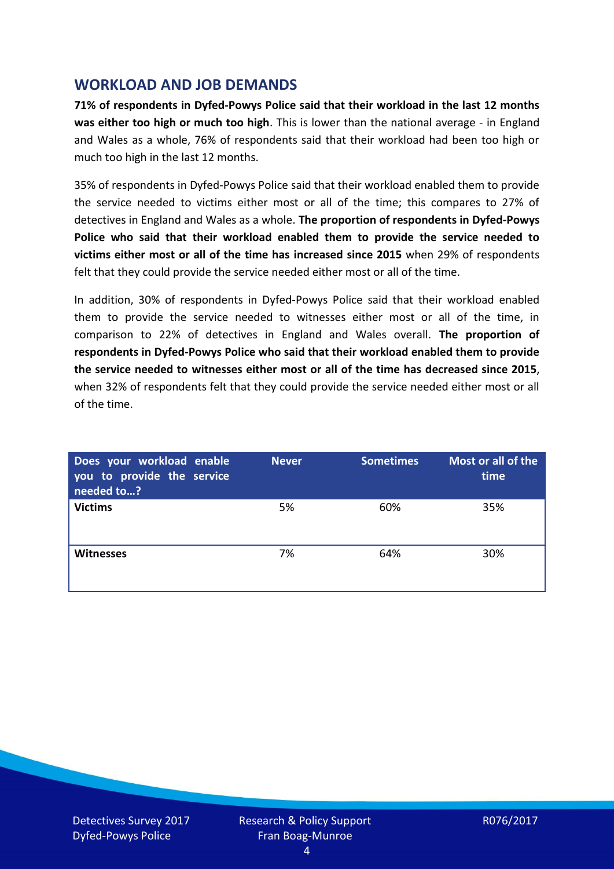## **WORKLOAD AND JOB DEMANDS**

**71% of respondents in Dyfed-Powys Police said that their workload in the last 12 months was either too high or much too high**. This is lower than the national average - in England and Wales as a whole, 76% of respondents said that their workload had been too high or much too high in the last 12 months.

35% of respondents in Dyfed-Powys Police said that their workload enabled them to provide the service needed to victims either most or all of the time; this compares to 27% of detectives in England and Wales as a whole. **The proportion of respondents in Dyfed-Powys Police who said that their workload enabled them to provide the service needed to victims either most or all of the time has increased since 2015** when 29% of respondents felt that they could provide the service needed either most or all of the time.

In addition, 30% of respondents in Dyfed-Powys Police said that their workload enabled them to provide the service needed to witnesses either most or all of the time, in comparison to 22% of detectives in England and Wales overall. **The proportion of respondents in Dyfed-Powys Police who said that their workload enabled them to provide the service needed to witnesses either most or all of the time has decreased since 2015**, when 32% of respondents felt that they could provide the service needed either most or all of the time.

| Does your workload enable<br>you to provide the service<br>needed to? | <b>Never</b> | <b>Sometimes</b> | Most or all of the<br>time |
|-----------------------------------------------------------------------|--------------|------------------|----------------------------|
| <b>Victims</b>                                                        | 5%           | 60%              | 35%                        |
| <b>Witnesses</b>                                                      | 7%           | 64%              | 30%                        |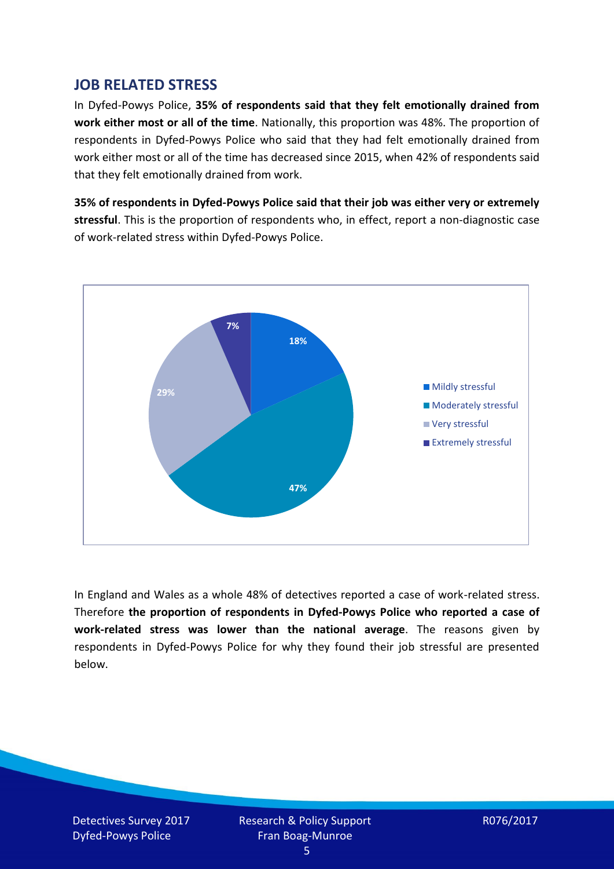## **JOB RELATED STRESS**

In Dyfed-Powys Police, **35% of respondents said that they felt emotionally drained from work either most or all of the time**. Nationally, this proportion was 48%. The proportion of respondents in Dyfed-Powys Police who said that they had felt emotionally drained from work either most or all of the time has decreased since 2015, when 42% of respondents said that they felt emotionally drained from work.

**35% of respondents in Dyfed-Powys Police said that their job was either very or extremely stressful**. This is the proportion of respondents who, in effect, report a non-diagnostic case of work-related stress within Dyfed-Powys Police.



In England and Wales as a whole 48% of detectives reported a case of work-related stress. Therefore **the proportion of respondents in Dyfed-Powys Police who reported a case of work-related stress was lower than the national average**. The reasons given by respondents in Dyfed-Powys Police for why they found their job stressful are presented below.

Detectives Survey 2017 Dyfed-Powys Police

Research & Policy Support Fran Boag-Munroe

R076/2017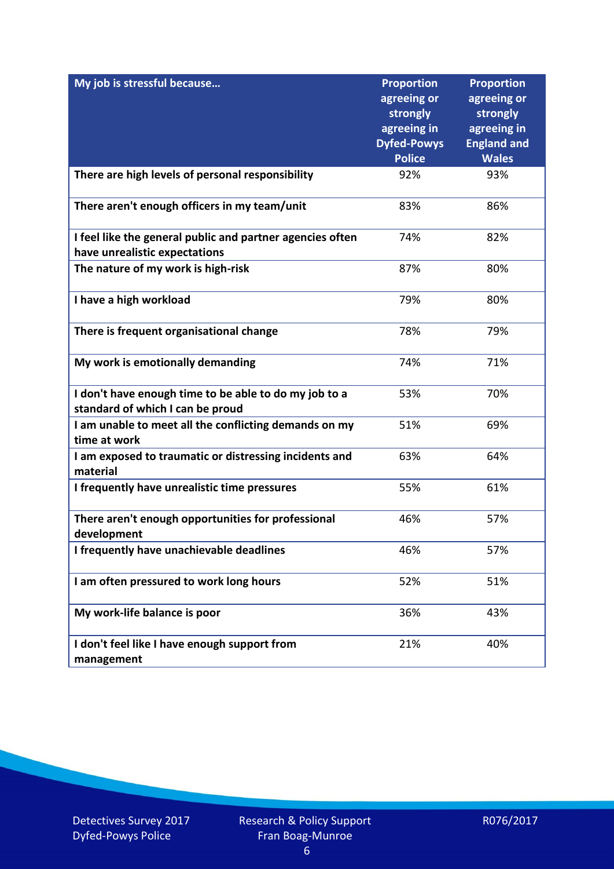| My job is stressful because                                                                | <b>Proportion</b><br>agreeing or<br>strongly<br>agreeing in<br><b>Dyfed-Powys</b> | <b>Proportion</b><br>agreeing or<br>strongly<br>agreeing in<br><b>England and</b> |
|--------------------------------------------------------------------------------------------|-----------------------------------------------------------------------------------|-----------------------------------------------------------------------------------|
|                                                                                            | <b>Police</b>                                                                     | <b>Wales</b>                                                                      |
| There are high levels of personal responsibility                                           | 92%                                                                               | 93%                                                                               |
| There aren't enough officers in my team/unit                                               | 83%                                                                               | 86%                                                                               |
| I feel like the general public and partner agencies often<br>have unrealistic expectations | 74%                                                                               | 82%                                                                               |
| The nature of my work is high-risk                                                         | 87%                                                                               | 80%                                                                               |
| I have a high workload                                                                     | 79%                                                                               | 80%                                                                               |
| There is frequent organisational change                                                    | 78%                                                                               | 79%                                                                               |
| My work is emotionally demanding                                                           | 74%                                                                               | 71%                                                                               |
| I don't have enough time to be able to do my job to a<br>standard of which I can be proud  | 53%                                                                               | 70%                                                                               |
| I am unable to meet all the conflicting demands on my<br>time at work                      | 51%                                                                               | 69%                                                                               |
| I am exposed to traumatic or distressing incidents and<br>material                         | 63%                                                                               | 64%                                                                               |
| I frequently have unrealistic time pressures                                               | 55%                                                                               | 61%                                                                               |
| There aren't enough opportunities for professional<br>development                          | 46%                                                                               | 57%                                                                               |
| I frequently have unachievable deadlines                                                   | 46%                                                                               | 57%                                                                               |
| I am often pressured to work long hours                                                    | 52%                                                                               | 51%                                                                               |
| My work-life balance is poor                                                               | 36%                                                                               | 43%                                                                               |
| I don't feel like I have enough support from<br>management                                 | 21%                                                                               | 40%                                                                               |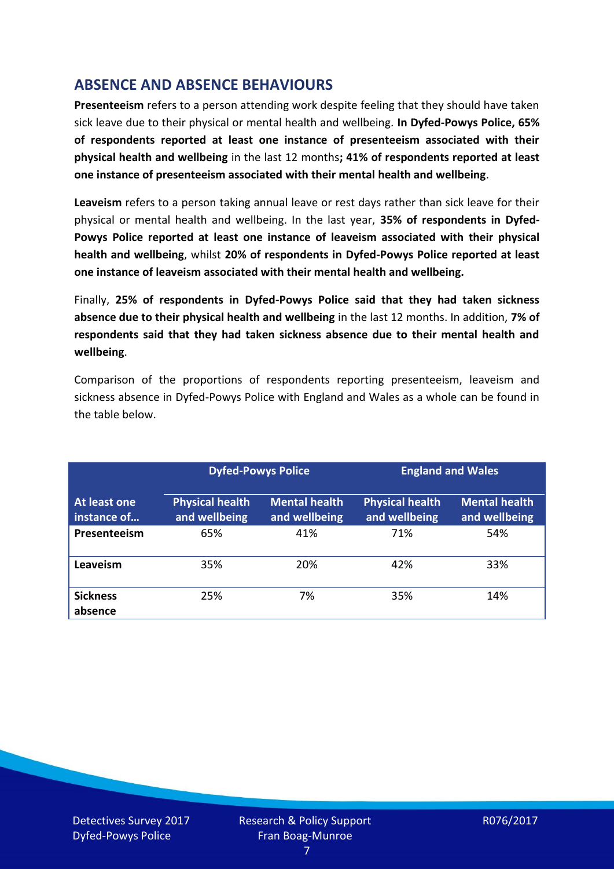# **ABSENCE AND ABSENCE BEHAVIOURS**

**Presenteeism** refers to a person attending work despite feeling that they should have taken sick leave due to their physical or mental health and wellbeing. **In Dyfed-Powys Police, 65% of respondents reported at least one instance of presenteeism associated with their physical health and wellbeing** in the last 12 months**; 41% of respondents reported at least one instance of presenteeism associated with their mental health and wellbeing**.

**Leaveism** refers to a person taking annual leave or rest days rather than sick leave for their physical or mental health and wellbeing. In the last year, **35% of respondents in Dyfed-Powys Police reported at least one instance of leaveism associated with their physical health and wellbeing**, whilst **20% of respondents in Dyfed-Powys Police reported at least one instance of leaveism associated with their mental health and wellbeing.**

Finally, **25% of respondents in Dyfed-Powys Police said that they had taken sickness absence due to their physical health and wellbeing** in the last 12 months. In addition, **7% of respondents said that they had taken sickness absence due to their mental health and wellbeing**.

Comparison of the proportions of respondents reporting presenteeism, leaveism and sickness absence in Dyfed-Powys Police with England and Wales as a whole can be found in the table below.

|                             |                                         | <b>Dyfed-Powys Police</b>             |                                         | <b>England and Wales</b>              |
|-----------------------------|-----------------------------------------|---------------------------------------|-----------------------------------------|---------------------------------------|
| At least one<br>instance of | <b>Physical health</b><br>and wellbeing | <b>Mental health</b><br>and wellbeing | <b>Physical health</b><br>and wellbeing | <b>Mental health</b><br>and wellbeing |
| Presenteeism                | 65%                                     | 41%                                   | 71%                                     | 54%                                   |
| Leaveism                    | 35%                                     | 20%                                   | 42%                                     | 33%                                   |
| <b>Sickness</b><br>absence  | 25%                                     | 7%                                    | 35%                                     | 14%                                   |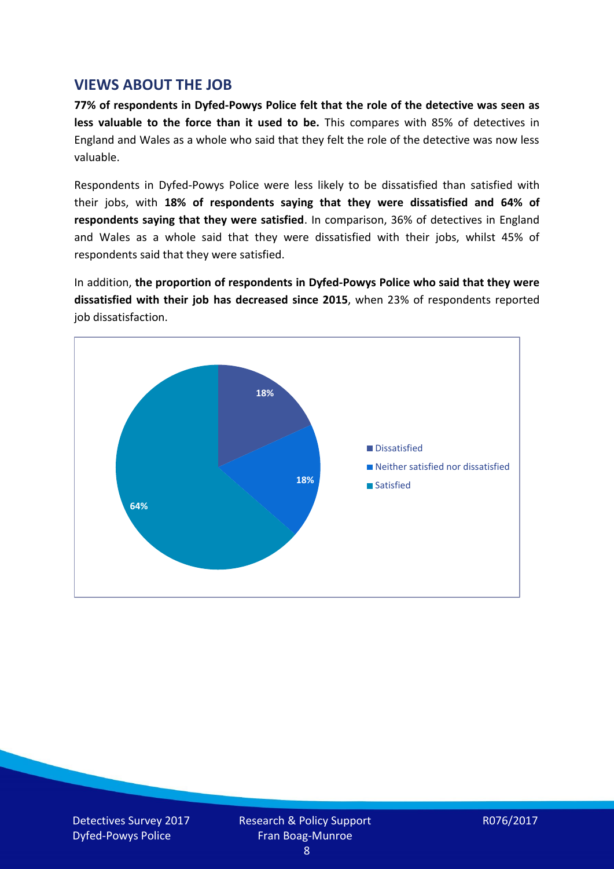### **VIEWS ABOUT THE JOB**

**77% of respondents in Dyfed-Powys Police felt that the role of the detective was seen as less valuable to the force than it used to be.** This compares with 85% of detectives in England and Wales as a whole who said that they felt the role of the detective was now less valuable.

Respondents in Dyfed-Powys Police were less likely to be dissatisfied than satisfied with their jobs, with **18% of respondents saying that they were dissatisfied and 64% of respondents saying that they were satisfied**. In comparison, 36% of detectives in England and Wales as a whole said that they were dissatisfied with their jobs, whilst 45% of respondents said that they were satisfied.

In addition, **the proportion of respondents in Dyfed-Powys Police who said that they were dissatisfied with their job has decreased since 2015**, when 23% of respondents reported job dissatisfaction.

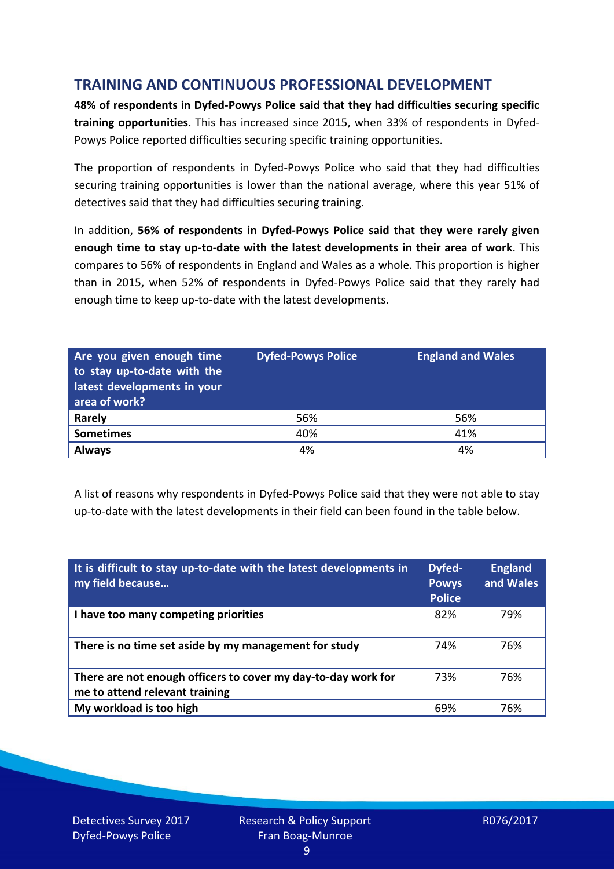# **TRAINING AND CONTINUOUS PROFESSIONAL DEVELOPMENT**

**48% of respondents in Dyfed-Powys Police said that they had difficulties securing specific training opportunities**. This has increased since 2015, when 33% of respondents in Dyfed-Powys Police reported difficulties securing specific training opportunities.

The proportion of respondents in Dyfed-Powys Police who said that they had difficulties securing training opportunities is lower than the national average, where this year 51% of detectives said that they had difficulties securing training.

In addition, **56% of respondents in Dyfed-Powys Police said that they were rarely given enough time to stay up-to-date with the latest developments in their area of work**. This compares to 56% of respondents in England and Wales as a whole. This proportion is higher than in 2015, when 52% of respondents in Dyfed-Powys Police said that they rarely had enough time to keep up-to-date with the latest developments.

| Are you given enough time<br>to stay up-to-date with the<br>latest developments in your<br>area of work? | <b>Dyfed-Powys Police</b> | <b>England and Wales</b> |
|----------------------------------------------------------------------------------------------------------|---------------------------|--------------------------|
| Rarely                                                                                                   | 56%                       | 56%                      |
| <b>Sometimes</b>                                                                                         | 40%                       | 41%                      |
| <b>Always</b>                                                                                            | 4%                        | 4%                       |

A list of reasons why respondents in Dyfed-Powys Police said that they were not able to stay up-to-date with the latest developments in their field can been found in the table below.

| It is difficult to stay up-to-date with the latest developments in<br>my field because          | Dyfed-<br><b>Powys</b><br><b>Police</b> | <b>England</b><br>and Wales |
|-------------------------------------------------------------------------------------------------|-----------------------------------------|-----------------------------|
| I have too many competing priorities                                                            | 82%                                     | 79%                         |
| There is no time set aside by my management for study                                           | 74%                                     | 76%                         |
| There are not enough officers to cover my day-to-day work for<br>me to attend relevant training | 73%                                     | 76%                         |
| My workload is too high                                                                         | 69%                                     | 76%                         |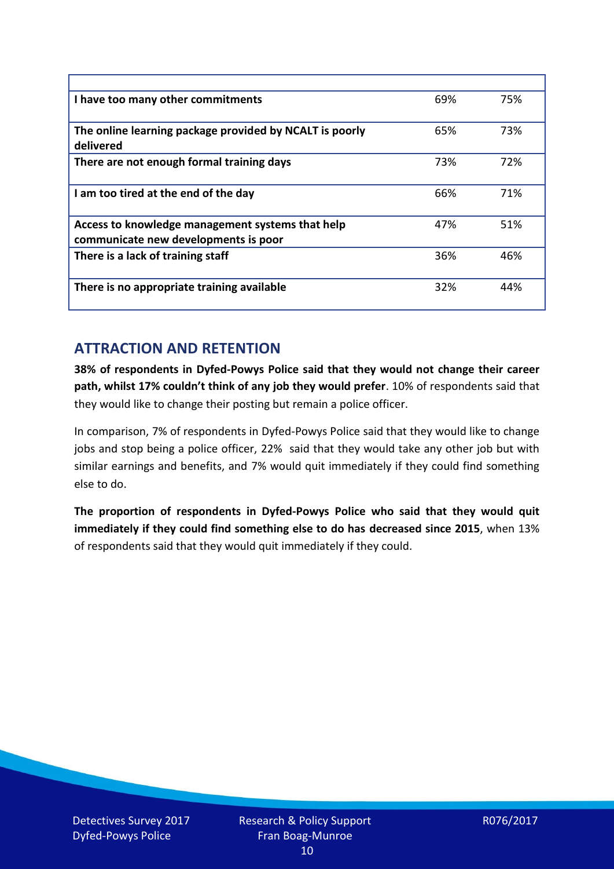| I have too many other commitments                                                        | 69% | 75% |
|------------------------------------------------------------------------------------------|-----|-----|
| The online learning package provided by NCALT is poorly<br>delivered                     | 65% | 73% |
| There are not enough formal training days                                                | 73% | 72% |
| I am too tired at the end of the day                                                     | 66% | 71% |
| Access to knowledge management systems that help<br>communicate new developments is poor | 47% | 51% |
| There is a lack of training staff                                                        | 36% | 46% |
| There is no appropriate training available                                               | 32% | 44% |

# **ATTRACTION AND RETENTION**

**38% of respondents in Dyfed-Powys Police said that they would not change their career path, whilst 17% couldn't think of any job they would prefer**. 10% of respondents said that they would like to change their posting but remain a police officer.

In comparison, 7% of respondents in Dyfed-Powys Police said that they would like to change jobs and stop being a police officer, 22% said that they would take any other job but with similar earnings and benefits, and 7% would quit immediately if they could find something else to do.

**The proportion of respondents in Dyfed-Powys Police who said that they would quit immediately if they could find something else to do has decreased since 2015**, when 13% of respondents said that they would quit immediately if they could.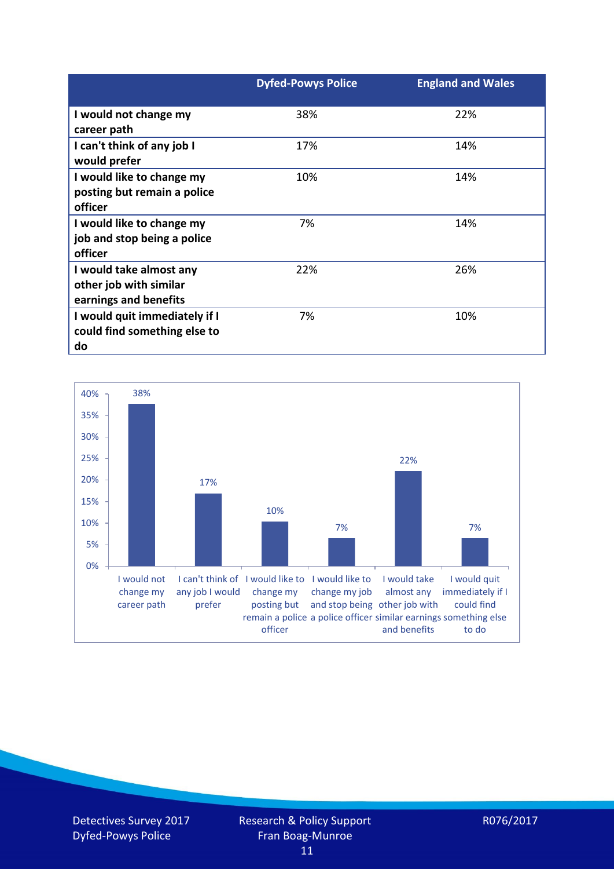|                                                                            | <b>Dyfed-Powys Police</b> | <b>England and Wales</b> |
|----------------------------------------------------------------------------|---------------------------|--------------------------|
| I would not change my<br>career path                                       | 38%                       | 22%                      |
| I can't think of any job I<br>would prefer                                 | 17%                       | 14%                      |
| I would like to change my<br>posting but remain a police<br>officer        | 10%                       | 14%                      |
| I would like to change my<br>job and stop being a police<br>officer        | 7%                        | 14%                      |
| I would take almost any<br>other job with similar<br>earnings and benefits | 22%                       | 26%                      |
| I would quit immediately if I<br>could find something else to<br>do        | 7%                        | 10%                      |